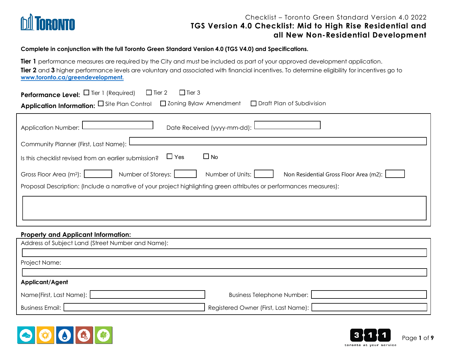

#### **Complete in conjunction with the full Toronto Green Standard Version 4.0 (TGS V4.0) and Specifications.**

**Tier 1** performance measures are required by the City and must be included as part of your approved development application. Tier 2 and 3 higher performance levels are voluntary and associated with financial incentives. To determine eligibility for incentives go to **www.toronto.ca/greendevelopment.**

| <b>Performance Level:</b> $\Box$ Tier 1 (Required) $\Box$ Tier 2<br>$\Box$ Tier 3<br>Application Information: O Site Plan Control D Zoning Bylaw Amendment D Draft Plan of Subdivision |
|----------------------------------------------------------------------------------------------------------------------------------------------------------------------------------------|
| Date Received (yyyy-mm-dd):<br>Application Number:                                                                                                                                     |
| Community Planner (First, Last Name):                                                                                                                                                  |
| $\Box$ Yes<br>$\Box$ No<br>Is this checklist revised from an earlier submission?                                                                                                       |
| Number of Storeys:<br>Gross Floor Area (m <sup>2</sup> ):<br>Number of Units:<br>Non Residential Gross Floor Area (m2):                                                                |
| Proposal Description: (Include a narrative of your project highlighting green attributes or performances measures):                                                                    |
|                                                                                                                                                                                        |
|                                                                                                                                                                                        |
|                                                                                                                                                                                        |

#### **Property and Applicant Information:**

| Address of Subject Land (Street Number and Name): |                                      |
|---------------------------------------------------|--------------------------------------|
|                                                   |                                      |
| Project Name:                                     |                                      |
|                                                   |                                      |
| Applicant/Agent                                   |                                      |
| Name(First, Last Name):                           | Business Telephone Number:           |
| <b>Business Email:</b>                            | Registered Owner (First, Last Name): |



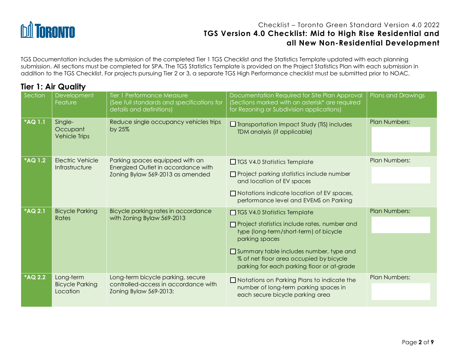

TGS Documentation includes the submission of the completed Tier 1 TGS Checklist and the Statistics Template updated with each planning submission. All sections must be completed for SPA. The TGS Statistics Template is provided on the Project Statistics Plan with each submission in addition to the TGS Checklist. For projects pursuing Tier 2 or 3, a separate TGS High Performance checklist must be submitted prior to NOAC.

# **Tier 1: Air Quality**

| Section        | Development<br>Feature                          | Tier 1 Performance Measure<br>(See full standards and specifications for<br>details and definitions)       | Documentation Required for Site Plan Approval<br>(Sections marked with an asterisk* are required<br>for Rezoning or Subdivision applications)                                                                                                                                       | Plans and Drawings   |
|----------------|-------------------------------------------------|------------------------------------------------------------------------------------------------------------|-------------------------------------------------------------------------------------------------------------------------------------------------------------------------------------------------------------------------------------------------------------------------------------|----------------------|
| *AQ 1.1        | Single-<br>Occupant<br><b>Vehicle Trips</b>     | Reduce single occupancy vehicles trips<br>by 25%                                                           | $\Box$ Transportation Impact Study (TIS) includes<br>TDM analysis (if applicable)                                                                                                                                                                                                   | Plan Numbers:        |
| <b>*AQ 1.2</b> | <b>Electric Vehicle</b><br>Infrastructure       | Parking spaces equipped with an<br>Energized Outlet in accordance with<br>Zoning Bylaw 569-2013 as amended | $\Box$ TGS V4.0 Statistics Template<br>$\Box$ Project parking statistics include number<br>and location of EV spaces<br>$\Box$ Notations indicate location of EV spaces,<br>performance level and EVEMS on Parking                                                                  | Plan Numbers:        |
| *AQ 2.1        | <b>Bicycle Parking</b><br>Rates                 | Bicycle parking rates in accordance<br>with Zoning Bylaw 569-2013                                          | $\Box$ TGS V4.0 Statistics Template<br>Project statistics include rates, number and<br>type (long-term/short-term) of bicycle<br>parking spaces<br>Summary table includes number, type and<br>% of net floor area occupied by bicycle<br>parking for each parking floor or at-grade | <b>Plan Numbers:</b> |
| <b>*AQ 2.2</b> | Long-term<br><b>Bicycle Parking</b><br>Location | Long-term bicycle parking, secure<br>controlled-access in accordance with<br>Zoning Bylaw 569-2013:        | $\Box$ Notations on Parking Plans to indicate the<br>number of long-term parking spaces in<br>each secure bicycle parking area                                                                                                                                                      | <b>Plan Numbers:</b> |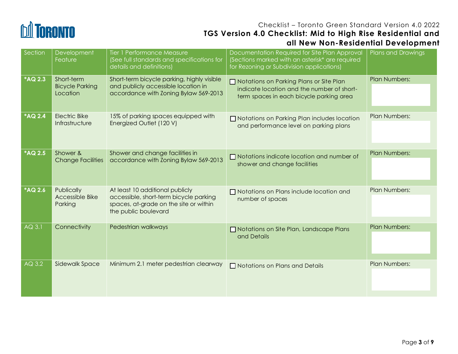

| Section        | Development<br>Feature                           | Tier 1 Performance Measure<br>(See full standards and specifications for<br>details and definitions)                                        | Documentation Required for Site Plan Approval<br>(Sections marked with an asterisk* are required<br>for Rezoning or Subdivision applications) | Plans and Drawings   |
|----------------|--------------------------------------------------|---------------------------------------------------------------------------------------------------------------------------------------------|-----------------------------------------------------------------------------------------------------------------------------------------------|----------------------|
| *AQ 2.3        | Short-term<br><b>Bicycle Parking</b><br>Location | Short-term bicycle parking, highly visible<br>and publicly accessible location in<br>accordance with Zoning Bylaw 569-2013                  | $\Box$ Notations on Parking Plans or Site Plan<br>indicate location and the number of short-<br>term spaces in each bicycle parking area      | <b>Plan Numbers:</b> |
| *AQ 2.4        | <b>Electric Bike</b><br>Infrastructure           | 15% of parking spaces equipped with<br>Energized Outlet (120 V)                                                                             | □ Notations on Parking Plan includes location<br>and performance level on parking plans                                                       | <b>Plan Numbers:</b> |
| <b>*AQ 2.5</b> | Shower &<br><b>Change Facilities</b>             | Shower and change facilities in<br>accordance with Zoning Bylaw 569-2013                                                                    | $\Box$ Notations indicate location and number of<br>shower and change facilities                                                              | <b>Plan Numbers:</b> |
| <b>*AQ 2.6</b> | Publically<br>Accessible Bike<br>Parking         | At least 10 additional publicly<br>accessible, short-term bicycle parking<br>spaces, at-grade on the site or within<br>the public boulevard | $\Box$ Notations on Plans include location and<br>number of spaces                                                                            | <b>Plan Numbers:</b> |
| AQ 3.1         | Connectivity                                     | Pedestrian walkways                                                                                                                         | Notations on Site Plan, Landscape Plans<br>and Details                                                                                        | <b>Plan Numbers:</b> |
| AQ 3.2         | Sidewalk Space                                   | Minimum 2.1 meter pedestrian clearway                                                                                                       | $\Box$ Notations on Plans and Details                                                                                                         | <b>Plan Numbers:</b> |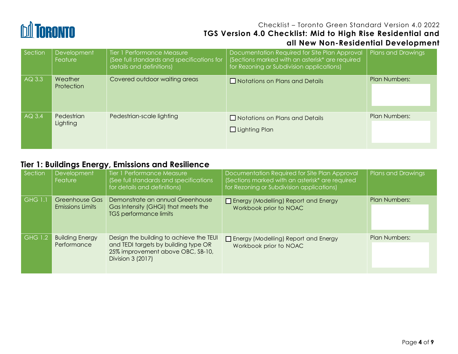

| Section  | <b>Development</b><br>Feature | Tier 1 Performance Measure<br>(See full standards and specifications for<br>details and definitions) | Documentation Required for Site Plan Approval<br>(Sections marked with an asterisk* are required<br>for Rezoning or Subdivision applications) | <b>Plans and Drawings</b> |
|----------|-------------------------------|------------------------------------------------------------------------------------------------------|-----------------------------------------------------------------------------------------------------------------------------------------------|---------------------------|
| AQ 3.3   | Weather<br>Protection         | Covered outdoor waiting areas                                                                        | $\Box$ Notations on Plans and Details                                                                                                         | <b>Plan Numbers:</b>      |
| $AC$ 3.4 | Pedestrian<br>Lighting        | Pedestrian-scale lighting                                                                            | $\Box$ Notations on Plans and Details<br>$\Box$ Lighting Plan                                                                                 | Plan Numbers:             |

# **Tier 1: Buildings Energy, Emissions and Resilience**

| Section        | <b>Development</b><br><b>Feature</b>  | Tier 1 Performance Measure<br>(See full standards and specifications<br>for details and definitions)                                      | Documentation Required for Site Plan Approval<br>(Sections marked with an asterisk* are required<br>for Rezoning or Subdivision applications) | <b>Plans and Drawings</b> |
|----------------|---------------------------------------|-------------------------------------------------------------------------------------------------------------------------------------------|-----------------------------------------------------------------------------------------------------------------------------------------------|---------------------------|
| <b>GHG 1.1</b> | Greenhouse Gas<br>Emissions Limits    | Demonstrate an annual Greenhouse<br>Gas Intensity (GHGI) that meets the<br><b>TGS performance limits</b>                                  | Energy (Modelling) Report and Energy<br>Workbook prior to NOAC                                                                                | <b>Plan Numbers:</b>      |
| <b>GHG 1.2</b> | <b>Building Energy</b><br>Performance | Design the building to achieve the TEUI<br>and TEDI targets by building type OR<br>25% improvement above OBC, SB-10,<br>Division 3 (2017) | Energy (Modelling) Report and Energy<br>Workbook prior to NOAC                                                                                | <b>Plan Numbers:</b>      |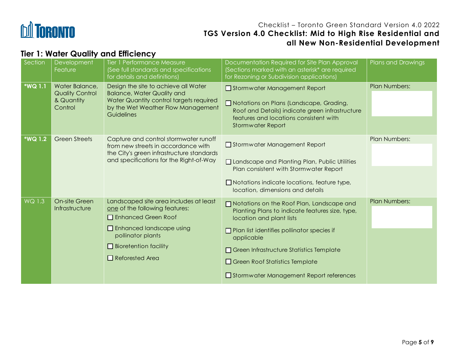

# **Tier 1: Water Quality and Efficiency**

| Section        | Development<br>Feature                                            | Tier 1 Performance Measure<br>(See full standards and specifications<br>for details and definitions)                                                                                                                | Documentation Required for Site Plan Approval<br>(Sections marked with an asterisk* are required<br>for Rezoning or Subdivision applications)                                                                                                                                                                                 | Plans and Drawings   |
|----------------|-------------------------------------------------------------------|---------------------------------------------------------------------------------------------------------------------------------------------------------------------------------------------------------------------|-------------------------------------------------------------------------------------------------------------------------------------------------------------------------------------------------------------------------------------------------------------------------------------------------------------------------------|----------------------|
| <b>*WQ 1.1</b> | Water Balance,<br><b>Quality Control</b><br>& Quantity<br>Control | Design the site to achieve all Water<br><b>Balance, Water Quality and</b><br>Water Quantity control targets required<br>by the Wet Weather Flow Management<br>Guidelines                                            | Stormwater Management Report<br>Notations on Plans (Landscape, Grading,<br>Roof and Details) indicate green infrastructure<br>features and locations consistent with<br><b>Stormwater Report</b>                                                                                                                              | <b>Plan Numbers:</b> |
| <b>*WQ 1.2</b> | <b>Green Streets</b>                                              | Capture and control stormwater runoff<br>from new streets in accordance with<br>the City's green infrastructure standards<br>and specifications for the Right-of-Way                                                | Stormwater Management Report<br>□ Landscape and Planting Plan, Public Utilities<br>Plan consistent with Stormwater Report<br>$\Box$ Notations indicate locations, feature type,<br>location, dimensions and details                                                                                                           | Plan Numbers:        |
| WQ 1.3         | On-site Green<br>Infrastructure                                   | Landscaped site area includes at least<br>one of the following features:<br>□ Enhanced Green Roof<br>$\Box$ Enhanced landscape using<br>pollinator plants<br>$\Box$ Bioretention facility<br>$\Box$ Reforested Area | □ Notations on the Roof Plan, Landscape and<br>Planting Plans to indicate features size, type,<br>location and plant lists<br>$\Box$ Plan list identifies pollinator species if<br>applicable<br>Green Infrastructure Statistics Template<br>$\Box$ Green Roof Statistics Template<br>Stormwater Management Report references | <b>Plan Numbers:</b> |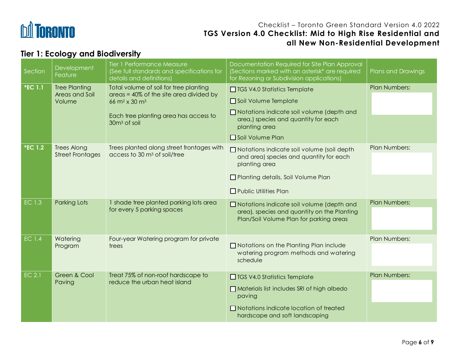

# **Tier 1: Ecology and Biodiversity**

| Section        | Development<br>Feature                           | <b>Tier 1 Performance Measure</b><br>(See full standards and specifications for<br>details and definitions)                | Documentation Required for Site Plan Approval<br>(Sections marked with an asterisk* are required<br>for Rezoning or Subdivision applications)                             | Plans and Drawings   |
|----------------|--------------------------------------------------|----------------------------------------------------------------------------------------------------------------------------|---------------------------------------------------------------------------------------------------------------------------------------------------------------------------|----------------------|
| *EC 1.1        | <b>Tree Planting</b><br>Areas and Soil<br>Volume | Total volume of soil for tree planting<br>areas = 40% of the site area divided by<br>66 m <sup>2</sup> x 30 m <sup>3</sup> | □ TGS V4.0 Statistics Template<br>Soil Volume Template<br>□ Notations indicate soil volume (depth and                                                                     | Plan Numbers:        |
|                |                                                  | Each tree planting area has access to<br>$30m3$ of soil                                                                    | area,) species and quantity for each<br>planting area<br>Soil Volume Plan                                                                                                 |                      |
| <b>*EC 1.2</b> | <b>Trees Along</b><br><b>Street Frontages</b>    | Trees planted along street frontages with<br>access to 30 m <sup>3</sup> of soil/tree                                      | □ Notations indicate soil volume (soil depth<br>and area) species and quantity for each<br>planting area                                                                  | Plan Numbers:        |
|                |                                                  |                                                                                                                            | Planting details, Soil Volume Plan<br>$\Box$ Public Utilities Plan                                                                                                        |                      |
| EC 1.3         | <b>Parking Lots</b>                              | 1 shade tree planted parking lots area<br>for every 5 parking spaces                                                       | □ Notations indicate soil volume (depth and<br>area), species and quantity on the Planting<br>Plan/Soil Volume Plan for parking areas                                     | <b>Plan Numbers:</b> |
| <b>EC 1.4</b>  | Watering<br>Program                              | Four-year Watering program for private<br>trees                                                                            | $\Box$ Notations on the Planting Plan include<br>watering program methods and watering<br>schedule                                                                        | Plan Numbers:        |
| <b>EC 2.1</b>  | Green & Cool<br>Paving                           | Treat 75% of non-roof hardscape to<br>reduce the urban heat island                                                         | □ TGS V4.0 Statistics Template<br>Materials list includes SRI of high albedo<br>paving<br>$\Box$ Notations indicate location of treated<br>hardscape and soft landscaping | Plan Numbers:        |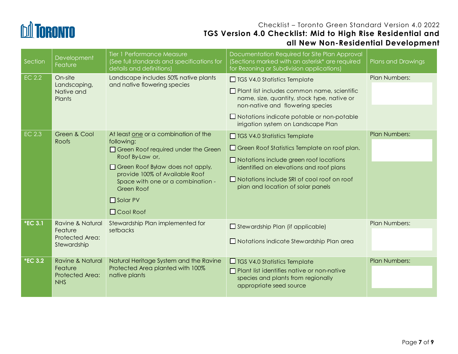

| Section        | Development<br>Feature                                                   | <b>Tier 1 Performance Measure</b><br>(See full standards and specifications for<br>details and definitions)                                                                                                                                                                    | Documentation Required for Site Plan Approval<br>(Sections marked with an asterisk* are required<br>for Rezoning or Subdivision applications)                                                                                                                             | Plans and Drawings   |
|----------------|--------------------------------------------------------------------------|--------------------------------------------------------------------------------------------------------------------------------------------------------------------------------------------------------------------------------------------------------------------------------|---------------------------------------------------------------------------------------------------------------------------------------------------------------------------------------------------------------------------------------------------------------------------|----------------------|
| <b>EC 2.2</b>  | On-site<br>Landscaping,<br>Native and<br><b>Plants</b>                   | Landscape includes 50% native plants<br>and native flowering species                                                                                                                                                                                                           | $\Box$ TGS V4.0 Statistics Template<br>Plant list includes common name, scientific<br>name, size, quantity, stock type, native or<br>non-native and flowering species<br>$\Box$ Notations indicate potable or non-potable<br>irrigation system on Landscape Plan          | <b>Plan Numbers:</b> |
| <b>EC 2.3</b>  | Green & Cool<br>Roofs                                                    | At least one or a combination of the<br>following:<br>Green Roof required under the Green<br>Roof By-Law or,<br>□ Green Roof Bylaw does not apply,<br>provide 100% of Available Roof<br>Space with one or a combination -<br>Green Roof<br>$\Box$ Solar PV<br>$\Box$ Cool Roof | $\Box$ TGS V4.0 Statistics Template<br>Green Roof Statistics Template on roof plan.<br>$\Box$ Notations include green roof locations<br>identified on elevations and roof plans<br>$\Box$ Notations include SRI of cool roof on roof<br>plan and location of solar panels | <b>Plan Numbers:</b> |
| <b>*EC 3.1</b> | <b>Ravine &amp; Natural</b><br>Feature<br>Protected Area:<br>Stewardship | Stewardship Plan implemented for<br>setbacks                                                                                                                                                                                                                                   | $\Box$ Stewardship Plan (if applicable)<br>$\Box$ Notations indicate Stewardship Plan area                                                                                                                                                                                | <b>Plan Numbers:</b> |
| <b>*EC 3.2</b> | <b>Ravine &amp; Natural</b><br>Feature<br>Protected Area:<br><b>NHS</b>  | Natural Heritage System and the Ravine<br>Protected Area planted with 100%<br>native plants                                                                                                                                                                                    | $\Box$ TGS V4.0 Statistics Template<br>$\Box$ Plant list identifies native or non-native<br>species and plants from regionally<br>appropriate seed source                                                                                                                 | <b>Plan Numbers:</b> |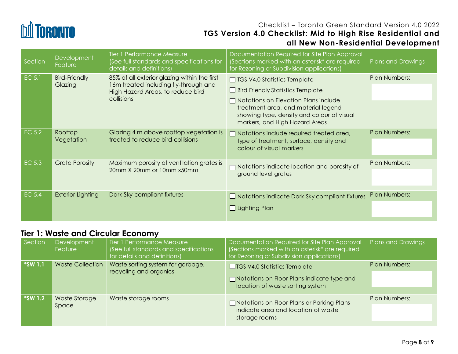

| Section | Development<br>Feature          | Tier 1 Performance Measure<br>(See full standards and specifications for<br>details and definitions)                                     | Documentation Required for Site Plan Approval<br>(Sections marked with an asterisk* are required<br>for Rezoning or Subdivision applications)                                                                                                         | Plans and Drawings   |
|---------|---------------------------------|------------------------------------------------------------------------------------------------------------------------------------------|-------------------------------------------------------------------------------------------------------------------------------------------------------------------------------------------------------------------------------------------------------|----------------------|
| EC 5.1  | <b>Bird-Friendly</b><br>Glazing | 85% of all exterior glazing within the first<br>16m treated including fly-through and<br>High Hazard Areas, to reduce bird<br>collisions | $\Box$ TGS V4.0 Statistics Template<br>$\Box$ Bird Friendly Statistics Template<br>$\Box$ Notations on Elevation Plans include<br>treatment area, and material legend<br>showing type, density and colour of visual<br>markers, and High Hazard Areas | <b>Plan Numbers:</b> |
| EC 5.2  | Rooftop<br>Vegetation           | Glazing 4 m above rooftop vegetation is<br>treated to reduce bird collisions                                                             | $\Box$ Notations include required treated area,<br>type of treatment, surface, density and<br>colour of visual markers                                                                                                                                | <b>Plan Numbers:</b> |
| EC 5.3  | <b>Grate Porosity</b>           | Maximum porosity of ventilation grates is<br>20mm X 20mm or 10mm x50mm                                                                   | $\Box$ Notations indicate location and porosity of<br>ground level grates                                                                                                                                                                             | Plan Numbers:        |
| EC 5.4  | <b>Exterior Lighting</b>        | Dark Sky compliant fixtures                                                                                                              | $\Box$ Notations indicate Dark Sky compliant fixtures<br>$\Box$ Lighting Plan                                                                                                                                                                         | <b>Plan Numbers:</b> |

# **Tier 1: Waste and Circular Economy**

| Section        | <b>Development</b><br><b>Feature</b> | Tier 1 Performance Measure<br>(See full standards and specifications<br>for details and definitions) | Documentation Required for Site Plan Approval<br>(Sections marked with an asterisk* are required<br>for Rezoning or Subdivision applications) | Plans and Drawings   |
|----------------|--------------------------------------|------------------------------------------------------------------------------------------------------|-----------------------------------------------------------------------------------------------------------------------------------------------|----------------------|
| <b>*SW 1.1</b> | <b>Waste Collection</b>              | Waste sorting system for garbage,<br>recycling and organics                                          | $\Box$ TGS V4.0 Statistics Template<br>□ Notations on Floor Plans indicate type and<br>location of waste sorting system                       | <b>Plan Numbers:</b> |
| <b>*SW 1.2</b> | Waste Storage<br>Space               | Waste storage rooms                                                                                  | Motations on Floor Plans or Parking Plans<br>indicate area and location of waste<br>storage rooms                                             | <b>Plan Numbers:</b> |